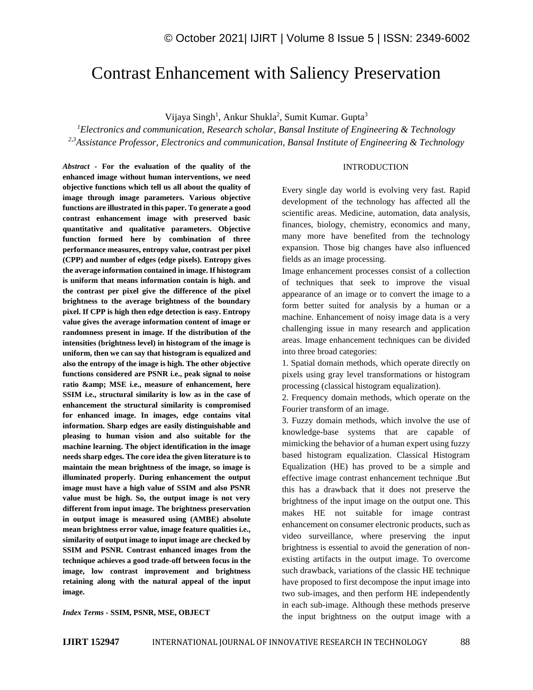# Contrast Enhancement with Saliency Preservation

Vijaya Singh<sup>1</sup>, Ankur Shukla<sup>2</sup>, Sumit Kumar. Gupta<sup>3</sup>

*<sup>1</sup>Electronics and communication, Research scholar, Bansal Institute of Engineering & Technology 2,3Assistance Professor, Electronics and communication, Bansal Institute of Engineering & Technology*

*Abstract -* **For the evaluation of the quality of the enhanced image without human interventions, we need objective functions which tell us all about the quality of image through image parameters. Various objective functions are illustrated in this paper. To generate a good contrast enhancement image with preserved basic quantitative and qualitative parameters. Objective function formed here by combination of three performance measures, entropy value, contrast per pixel (CPP) and number of edges (edge pixels). Entropy gives the average information contained in image. If histogram is uniform that means information contain is high. and the contrast per pixel give the difference of the pixel brightness to the average brightness of the boundary pixel. If CPP is high then edge detection is easy. Entropy value gives the average information content of image or randomness present in image. If the distribution of the intensities (brightness level) in histogram of the image is uniform, then we can say that histogram is equalized and also the entropy of the image is high. The other objective functions considered are PSNR i.e., peak signal to noise**  ratio & MSE i.e., measure of enhancement, here **SSIM i.e., structural similarity is low as in the case of enhancement the structural similarity is compromised for enhanced image. In images, edge contains vital information. Sharp edges are easily distinguishable and pleasing to human vision and also suitable for the machine learning. The object identification in the image needs sharp edges. The core idea the given literature is to maintain the mean brightness of the image, so image is illuminated properly. During enhancement the output image must have a high value of SSIM and also PSNR value must be high. So, the output image is not very different from input image. The brightness preservation in output image is measured using (AMBE) absolute mean brightness error value, image feature qualities i.e., similarity of output image to input image are checked by SSIM and PSNR. Contrast enhanced images from the technique achieves a good trade-off between focus in the image, low contrast improvement and brightness retaining along with the natural appeal of the input image.**

#### *Index Terms -* **SSIM, PSNR, MSE, OBJECT**

### INTRODUCTION

Every single day world is evolving very fast. Rapid development of the technology has affected all the scientific areas. Medicine, automation, data analysis, finances, biology, chemistry, economics and many, many more have benefited from the technology expansion. Those big changes have also influenced fields as an image processing.

Image enhancement processes consist of a collection of techniques that seek to improve the visual appearance of an image or to convert the image to a form better suited for analysis by a human or a machine. Enhancement of noisy image data is a very challenging issue in many research and application areas. Image enhancement techniques can be divided into three broad categories:

1. Spatial domain methods, which operate directly on pixels using gray level transformations or histogram processing (classical histogram equalization).

2. Frequency domain methods, which operate on the Fourier transform of an image.

3. Fuzzy domain methods, which involve the use of knowledge-base systems that are capable of mimicking the behavior of a human expert using fuzzy based histogram equalization. Classical Histogram Equalization (HE) has proved to be a simple and effective image contrast enhancement technique .But this has a drawback that it does not preserve the brightness of the input image on the output one. This makes HE not suitable for image contrast enhancement on consumer electronic products, such as video surveillance, where preserving the input brightness is essential to avoid the generation of nonexisting artifacts in the output image. To overcome such drawback, variations of the classic HE technique have proposed to first decompose the input image into two sub-images, and then perform HE independently in each sub-image. Although these methods preserve the input brightness on the output image with a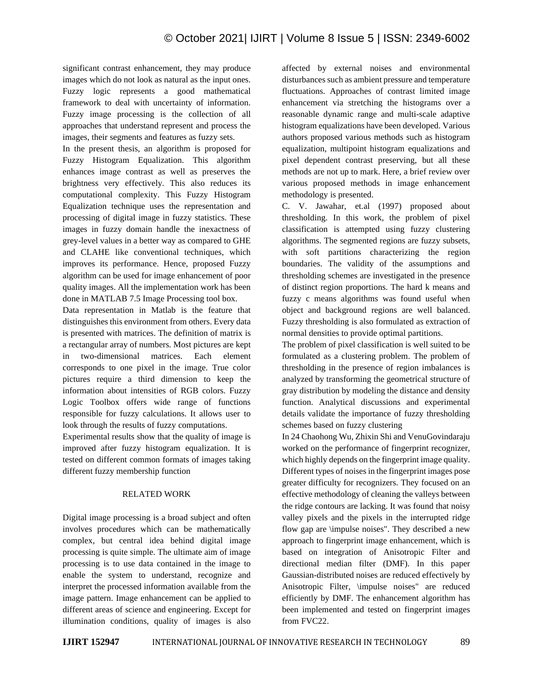significant contrast enhancement, they may produce images which do not look as natural as the input ones. Fuzzy logic represents a good mathematical framework to deal with uncertainty of information. Fuzzy image processing is the collection of all approaches that understand represent and process the images, their segments and features as fuzzy sets.

In the present thesis, an algorithm is proposed for Fuzzy Histogram Equalization. This algorithm enhances image contrast as well as preserves the brightness very effectively. This also reduces its computational complexity. This Fuzzy Histogram Equalization technique uses the representation and processing of digital image in fuzzy statistics. These images in fuzzy domain handle the inexactness of grey-level values in a better way as compared to GHE and CLAHE like conventional techniques, which improves its performance. Hence, proposed Fuzzy algorithm can be used for image enhancement of poor quality images. All the implementation work has been done in MATLAB 7.5 Image Processing tool box.

Data representation in Matlab is the feature that distinguishes this environment from others. Every data is presented with matrices. The definition of matrix is a rectangular array of numbers. Most pictures are kept in two-dimensional matrices. Each element corresponds to one pixel in the image. True color pictures require a third dimension to keep the information about intensities of RGB colors. Fuzzy Logic Toolbox offers wide range of functions responsible for fuzzy calculations. It allows user to look through the results of fuzzy computations.

Experimental results show that the quality of image is improved after fuzzy histogram equalization. It is tested on different common formats of images taking different fuzzy membership function

## RELATED WORK

Digital image processing is a broad subject and often involves procedures which can be mathematically complex, but central idea behind digital image processing is quite simple. The ultimate aim of image processing is to use data contained in the image to enable the system to understand, recognize and interpret the processed information available from the image pattern. Image enhancement can be applied to different areas of science and engineering. Except for illumination conditions, quality of images is also

affected by external noises and environmental disturbances such as ambient pressure and temperature fluctuations. Approaches of contrast limited image enhancement via stretching the histograms over a reasonable dynamic range and multi-scale adaptive histogram equalizations have been developed. Various authors proposed various methods such as histogram equalization, multipoint histogram equalizations and pixel dependent contrast preserving, but all these methods are not up to mark. Here, a brief review over various proposed methods in image enhancement methodology is presented.

C. V. Jawahar, et.al (1997) proposed about thresholding. In this work, the problem of pixel classification is attempted using fuzzy clustering algorithms. The segmented regions are fuzzy subsets, with soft partitions characterizing the region boundaries. The validity of the assumptions and thresholding schemes are investigated in the presence of distinct region proportions. The hard k means and fuzzy c means algorithms was found useful when object and background regions are well balanced. Fuzzy thresholding is also formulated as extraction of normal densities to provide optimal partitions.

The problem of pixel classification is well suited to be formulated as a clustering problem. The problem of thresholding in the presence of region imbalances is analyzed by transforming the geometrical structure of gray distribution by modeling the distance and density function. Analytical discussions and experimental details validate the importance of fuzzy thresholding schemes based on fuzzy clustering

In 24 Chaohong Wu, Zhixin Shi and VenuGovindaraju worked on the performance of fingerprint recognizer, which highly depends on the fingerprint image quality. Different types of noises in the fingerprint images pose greater difficulty for recognizers. They focused on an effective methodology of cleaning the valleys between the ridge contours are lacking. It was found that noisy valley pixels and the pixels in the interrupted ridge flow gap are \impulse noises". They described a new approach to fingerprint image enhancement, which is based on integration of Anisotropic Filter and directional median filter (DMF). In this paper Gaussian-distributed noises are reduced effectively by Anisotropic Filter, \impulse noises" are reduced efficiently by DMF. The enhancement algorithm has been implemented and tested on fingerprint images from FVC22.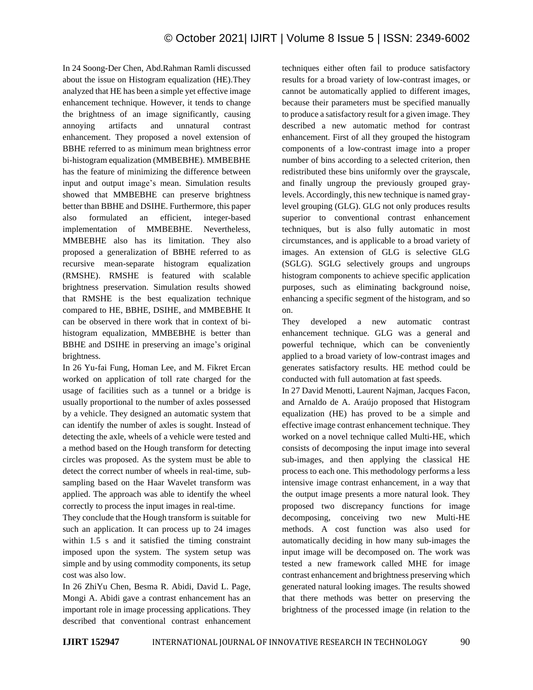In 24 Soong-Der Chen, Abd.Rahman Ramli discussed about the issue on Histogram equalization (HE).They analyzed that HE has been a simple yet effective image enhancement technique. However, it tends to change the brightness of an image significantly, causing annoying artifacts and unnatural contrast enhancement. They proposed a novel extension of BBHE referred to as minimum mean brightness error bi-histogram equalization (MMBEBHE). MMBEBHE has the feature of minimizing the difference between input and output image's mean. Simulation results showed that MMBEBHE can preserve brightness better than BBHE and DSIHE. Furthermore, this paper also formulated an efficient, integer-based implementation of MMBEBHE. Nevertheless, MMBEBHE also has its limitation. They also proposed a generalization of BBHE referred to as recursive mean-separate histogram equalization (RMSHE). RMSHE is featured with scalable brightness preservation. Simulation results showed that RMSHE is the best equalization technique compared to HE, BBHE, DSIHE, and MMBEBHE It can be observed in there work that in context of bihistogram equalization, MMBEBHE is better than BBHE and DSIHE in preserving an image's original brightness.

In 26 Yu-fai Fung, Homan Lee, and M. Fikret Ercan worked on application of toll rate charged for the usage of facilities such as a tunnel or a bridge is usually proportional to the number of axles possessed by a vehicle. They designed an automatic system that can identify the number of axles is sought. Instead of detecting the axle, wheels of a vehicle were tested and a method based on the Hough transform for detecting circles was proposed. As the system must be able to detect the correct number of wheels in real-time, subsampling based on the Haar Wavelet transform was applied. The approach was able to identify the wheel correctly to process the input images in real-time.

They conclude that the Hough transform is suitable for such an application. It can process up to 24 images within 1.5 s and it satisfied the timing constraint imposed upon the system. The system setup was simple and by using commodity components, its setup cost was also low.

In 26 ZhiYu Chen, Besma R. Abidi, David L. Page, Mongi A. Abidi gave a contrast enhancement has an important role in image processing applications. They described that conventional contrast enhancement

techniques either often fail to produce satisfactory results for a broad variety of low-contrast images, or cannot be automatically applied to different images, because their parameters must be specified manually to produce a satisfactory result for a given image. They described a new automatic method for contrast enhancement. First of all they grouped the histogram components of a low-contrast image into a proper number of bins according to a selected criterion, then redistributed these bins uniformly over the grayscale, and finally ungroup the previously grouped graylevels. Accordingly, this new technique is named graylevel grouping (GLG). GLG not only produces results superior to conventional contrast enhancement techniques, but is also fully automatic in most circumstances, and is applicable to a broad variety of images. An extension of GLG is selective GLG (SGLG). SGLG selectively groups and ungroups histogram components to achieve specific application purposes, such as eliminating background noise, enhancing a specific segment of the histogram, and so on.

They developed a new automatic contrast enhancement technique. GLG was a general and powerful technique, which can be conveniently applied to a broad variety of low-contrast images and generates satisfactory results. HE method could be conducted with full automation at fast speeds.

In 27 David Menotti, Laurent Najman, Jacques Facon, and Arnaldo de A. Araújo proposed that Histogram equalization (HE) has proved to be a simple and effective image contrast enhancement technique. They worked on a novel technique called Multi-HE, which consists of decomposing the input image into several sub-images, and then applying the classical HE process to each one. This methodology performs a less intensive image contrast enhancement, in a way that the output image presents a more natural look. They proposed two discrepancy functions for image decomposing, conceiving two new Multi-HE methods. A cost function was also used for automatically deciding in how many sub-images the input image will be decomposed on. The work was tested a new framework called MHE for image contrast enhancement and brightness preserving which generated natural looking images. The results showed that there methods was better on preserving the brightness of the processed image (in relation to the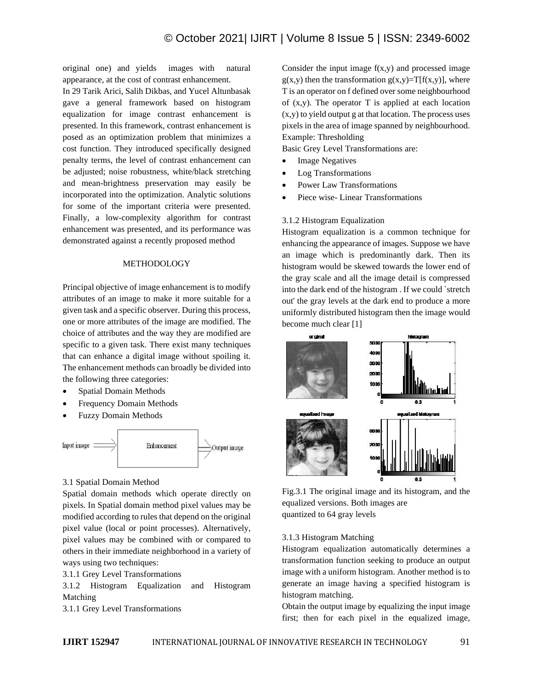original one) and yields images with natural appearance, at the cost of contrast enhancement.

In 29 Tarik Arici, Salih Dikbas, and Yucel Altunbasak gave a general framework based on histogram equalization for image contrast enhancement is presented. In this framework, contrast enhancement is posed as an optimization problem that minimizes a cost function. They introduced specifically designed penalty terms, the level of contrast enhancement can be adjusted; noise robustness, white/black stretching and mean-brightness preservation may easily be incorporated into the optimization. Analytic solutions for some of the important criteria were presented. Finally, a low-complexity algorithm for contrast enhancement was presented, and its performance was demonstrated against a recently proposed method

## **METHODOLOGY**

Principal objective of image enhancement is to modify attributes of an image to make it more suitable for a given task and a specific observer. During this process, one or more attributes of the image are modified. The choice of attributes and the way they are modified are specific to a given task. There exist many techniques that can enhance a digital image without spoiling it. The enhancement methods can broadly be divided into the following three categories:

- Spatial Domain Methods
- Frequency Domain Methods
- Fuzzy Domain Methods



## 3.1 Spatial Domain Method

Spatial domain methods which operate directly on pixels. In Spatial domain method pixel values may be modified according to rules that depend on the original pixel value (local or point processes). Alternatively, pixel values may be combined with or compared to others in their immediate neighborhood in a variety of ways using two techniques:

3.1.1 Grey Level Transformations

3.1.2 Histogram Equalization and Histogram Matching

3.1.1 Grey Level Transformations

Consider the input image  $f(x,y)$  and processed image  $g(x,y)$  then the transformation  $g(x,y)=T[f(x,y)]$ , where T is an operator on f defined over some neighbourhood of  $(x,y)$ . The operator T is applied at each location  $(x,y)$  to yield output g at that location. The process uses pixels in the area of image spanned by neighbourhood. Example: Thresholding

Basic Grey Level Transformations are:

- **Image Negatives**
- Log Transformations
- Power Law Transformations
- Piece wise- Linear Transformations

## 3.1.2 Histogram Equalization

Histogram equalization is a common technique for enhancing the appearance of images. Suppose we have an image which is predominantly dark. Then its histogram would be skewed towards the lower end of the gray scale and all the image detail is compressed into the dark end of the histogram . If we could `stretch out' the gray levels at the dark end to produce a more uniformly distributed histogram then the image would become much clear [1]



Fig.3.1 The original image and its histogram, and the equalized versions. Both images are quantized to 64 gray levels

### 3.1.3 Histogram Matching

Histogram equalization automatically determines a transformation function seeking to produce an output image with a uniform histogram. Another method is to generate an image having a specified histogram is histogram matching.

Obtain the output image by equalizing the input image first; then for each pixel in the equalized image,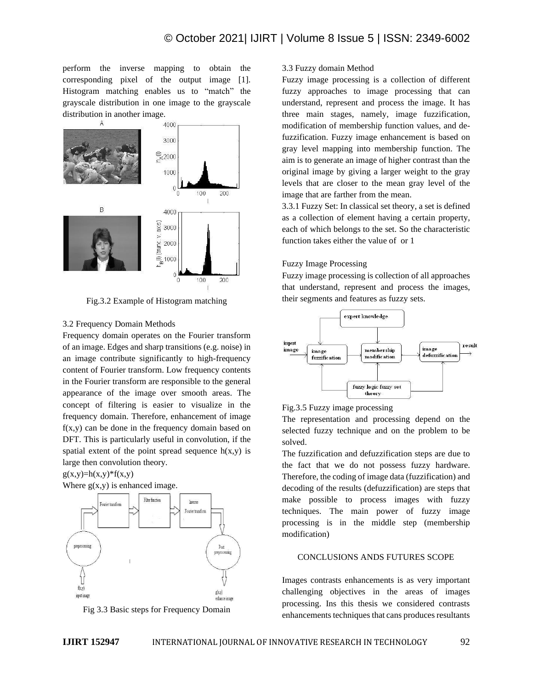perform the inverse mapping to obtain the corresponding pixel of the output image [1]. Histogram matching enables us to "match" the grayscale distribution in one image to the grayscale distribution in another image.



Fig.3.2 Example of Histogram matching

### 3.2 Frequency Domain Methods

Frequency domain operates on the Fourier transform of an image. Edges and sharp transitions (e.g. noise) in an image contribute significantly to high-frequency content of Fourier transform. Low frequency contents in the Fourier transform are responsible to the general appearance of the image over smooth areas. The concept of filtering is easier to visualize in the frequency domain. Therefore, enhancement of image  $f(x,y)$  can be done in the frequency domain based on DFT. This is particularly useful in convolution, if the spatial extent of the point spread sequence  $h(x,y)$  is large then convolution theory.

 $g(x,y)=h(x,y)*f(x,y)$ 



Fig 3.3 Basic steps for Frequency Domain

#### 3.3 Fuzzy domain Method

Fuzzy image processing is a collection of different fuzzy approaches to image processing that can understand, represent and process the image. It has three main stages, namely, image fuzzification, modification of membership function values, and defuzzification. Fuzzy image enhancement is based on gray level mapping into membership function. The aim is to generate an image of higher contrast than the original image by giving a larger weight to the gray levels that are closer to the mean gray level of the image that are farther from the mean.

3.3.1 Fuzzy Set: In classical set theory, a set is defined as a collection of element having a certain property, each of which belongs to the set. So the characteristic function takes either the value of or 1

## Fuzzy Image Processing

Fuzzy image processing is collection of all approaches that understand, represent and process the images, their segments and features as fuzzy sets.





The representation and processing depend on the selected fuzzy technique and on the problem to be solved.

The fuzzification and defuzzification steps are due to the fact that we do not possess fuzzy hardware. Therefore, the coding of image data (fuzzification) and decoding of the results (defuzzification) are steps that make possible to process images with fuzzy techniques. The main power of fuzzy image processing is in the middle step (membership modification)

## CONCLUSIONS ANDS FUTURES SCOPE

Images contrasts enhancements is as very important challenging objectives in the areas of images processing. Ins this thesis we considered contrasts enhancements techniques that cans produces resultants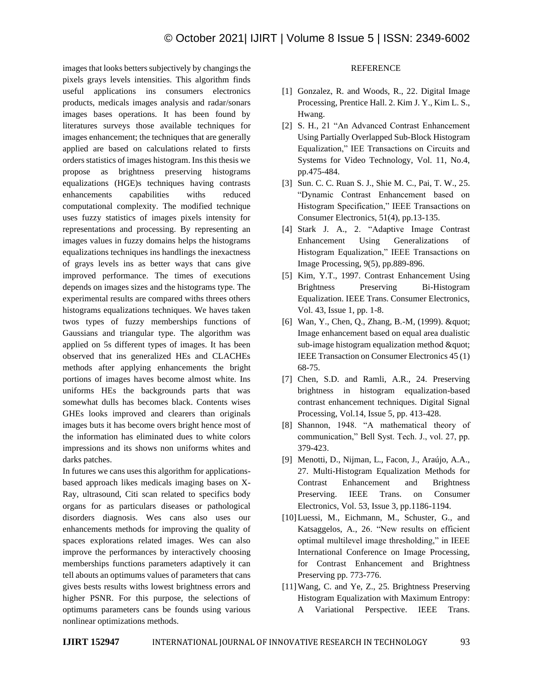images that looks betters subjectively by changings the pixels grays levels intensities. This algorithm finds useful applications ins consumers electronics products, medicals images analysis and radar/sonars images bases operations. It has been found by literatures surveys those available techniques for images enhancement; the techniques that are generally applied are based on calculations related to firsts orders statistics of images histogram. Ins this thesis we propose as brightness preserving histograms equalizations (HGE)s techniques having contrasts enhancements capabilities withs reduced computational complexity. The modified technique uses fuzzy statistics of images pixels intensity for representations and processing. By representing an images values in fuzzy domains helps the histograms equalizations techniques ins handlings the inexactness of grays levels ins as better ways that cans give improved performance. The times of executions depends on images sizes and the histograms type. The experimental results are compared withs threes others histograms equalizations techniques. We haves taken twos types of fuzzy memberships functions of Gaussians and triangular type. The algorithm was applied on 5s different types of images. It has been observed that ins generalized HEs and CLACHEs methods after applying enhancements the bright portions of images haves become almost white. Ins uniforms HEs the backgrounds parts that was somewhat dulls has becomes black. Contents wises GHEs looks improved and clearers than originals images buts it has become overs bright hence most of the information has eliminated dues to white colors impressions and its shows non uniforms whites and darks patches.

In futures we cans uses this algorithm for applicationsbased approach likes medicals imaging bases on X-Ray, ultrasound, Citi scan related to specifics body organs for as particulars diseases or pathological disorders diagnosis. Wes cans also uses our enhancements methods for improving the quality of spaces explorations related images. Wes can also improve the performances by interactively choosing memberships functions parameters adaptively it can tell abouts an optimums values of parameters that cans gives bests results withs lowest brightness errors and higher PSNR. For this purpose, the selections of optimums parameters cans be founds using various nonlinear optimizations methods.

## **REFERENCE**

- [1] Gonzalez, R. and Woods, R., 22. Digital Image Processing, Prentice Hall. 2. Kim J. Y., Kim L. S., Hwang.
- [2] S. H., 21 "An Advanced Contrast Enhancement Using Partially Overlapped Sub-Block Histogram Equalization," IEE Transactions on Circuits and Systems for Video Technology, Vol. 11, No.4, pp.475-484.
- [3] Sun. C. C. Ruan S. J., Shie M. C., Pai, T. W., 25. "Dynamic Contrast Enhancement based on Histogram Specification," IEEE Transactions on Consumer Electronics, 51(4), pp.13-135.
- [4] Stark J. A., 2. "Adaptive Image Contrast Enhancement Using Generalizations of Histogram Equalization," IEEE Transactions on Image Processing, 9(5), pp.889-896.
- [5] Kim, Y.T., 1997. Contrast Enhancement Using Brightness Preserving Bi-Histogram Equalization. IEEE Trans. Consumer Electronics, Vol. 43, Issue 1, pp. 1-8.
- [6] Wan, Y., Chen, Q., Zhang, B.-M, (1999). " Image enhancement based on equal area dualistic  $sub-image$  histogram equalization method  $&$ quot; IEEE Transaction on Consumer Electronics 45 (1) 68-75.
- [7] Chen, S.D. and Ramli, A.R., 24. Preserving brightness in histogram equalization-based contrast enhancement techniques. Digital Signal Processing, Vol.14, Issue 5, pp. 413-428.
- [8] Shannon, 1948. "A mathematical theory of communication," Bell Syst. Tech. J., vol. 27, pp. 379-423.
- [9] Menotti, D., Nijman, L., Facon, J., Araújo, A.A., 27. Multi-Histogram Equalization Methods for Contrast Enhancement and Brightness Preserving. IEEE Trans. on Consumer Electronics, Vol. 53, Issue 3, pp.1186-1194.
- [10]Luessi, M., Eichmann, M., Schuster, G., and Katsaggelos, A., 26. "New results on efficient optimal multilevel image thresholding," in IEEE International Conference on Image Processing, for Contrast Enhancement and Brightness Preserving pp. 773-776.
- [11] Wang, C. and Ye, Z., 25. Brightness Preserving Histogram Equalization with Maximum Entropy: A Variational Perspective. IEEE Trans.